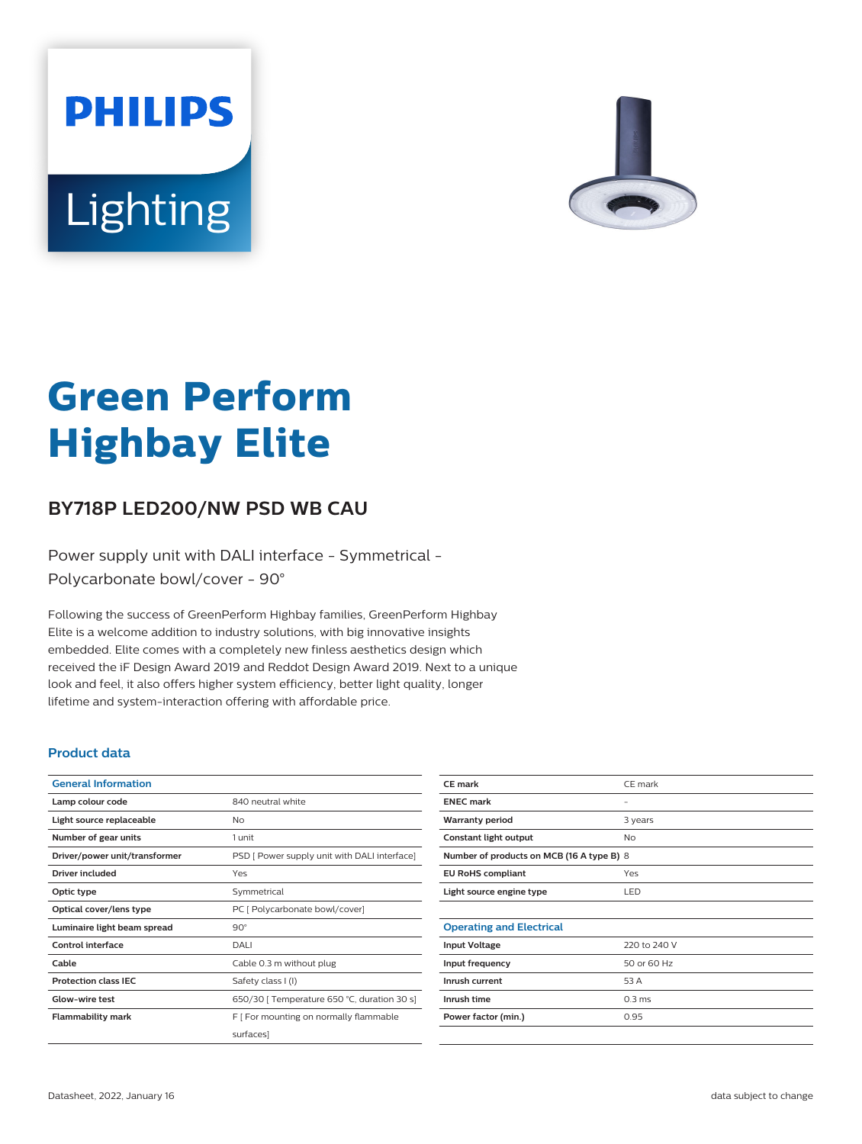



# **Green Perform Highbay Elite**

## **BY718P LED200/NW PSD WB CAU**

Power supply unit with DALI interface - Symmetrical - Polycarbonate bowl/cover - 90°

Following the success of GreenPerform Highbay families, GreenPerform Highbay Elite is a welcome addition to industry solutions, with big innovative insights embedded. Elite comes with a completely new finless aesthetics design which received the iF Design Award 2019 and Reddot Design Award 2019. Next to a unique look and feel, it also offers higher system efficiency, better light quality, longer lifetime and system-interaction offering with affordable price.

#### **Product data**

| <b>General Information</b>    |                                              |
|-------------------------------|----------------------------------------------|
| Lamp colour code              | 840 neutral white                            |
| Light source replaceable      | No                                           |
| Number of gear units          | 1 unit                                       |
| Driver/power unit/transformer | PSD [ Power supply unit with DALI interface] |
| Driver included               | Yes                                          |
| Optic type                    | Symmetrical                                  |
| Optical cover/lens type       | PC [ Polycarbonate bowl/cover]               |
| Luminaire light beam spread   | $90^\circ$                                   |
| Control interface             | DALI                                         |
| Cable                         | Cable 0.3 m without plug                     |
| <b>Protection class IEC</b>   | Safety class I (I)                           |
| Glow-wire test                | 650/30   Temperature 650 °C, duration 30 s]  |
| <b>Flammability mark</b>      | F   For mounting on normally flammable       |
|                               | surfaces]                                    |
|                               |                                              |

| <b>CE</b> mark                            | CE mark           |  |
|-------------------------------------------|-------------------|--|
| <b>ENEC mark</b>                          | -                 |  |
| <b>Warranty period</b>                    | 3 years           |  |
| Constant light output                     | <b>No</b>         |  |
| Number of products on MCB (16 A type B) 8 |                   |  |
| <b>EU RoHS compliant</b>                  | Yes               |  |
| Light source engine type                  | LED               |  |
|                                           |                   |  |
| <b>Operating and Electrical</b>           |                   |  |
| <b>Input Voltage</b>                      | 220 to 240 V      |  |
| Input frequency                           | 50 or 60 Hz       |  |
| Inrush current                            | 53 A              |  |
| Inrush time                               | 0.3 <sub>ms</sub> |  |
| Power factor (min.)                       | 0.95              |  |
|                                           |                   |  |